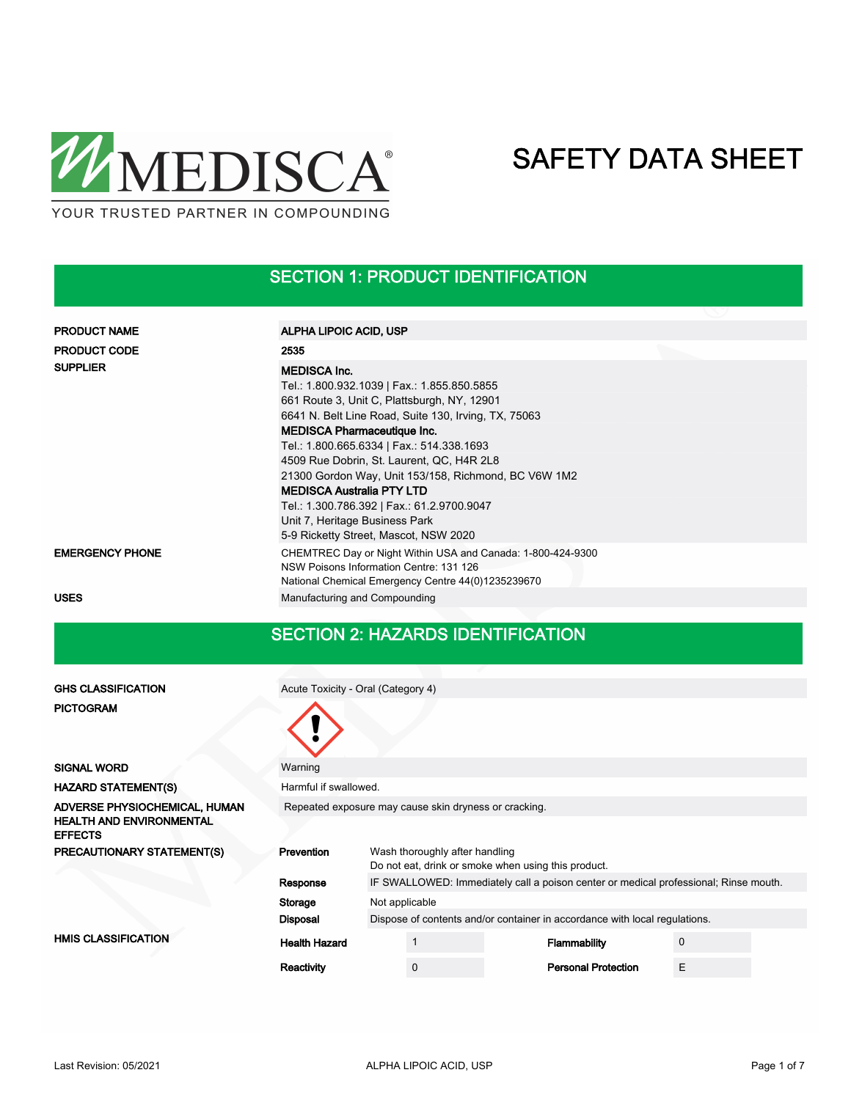

### SECTION 1: PRODUCT IDENTIFICATION

| <b>PRODUCT NAME</b>    | ALPHA LIPOIC ACID, USP                                                                                                                                                                                                                                                                                                                                                                                                                                                                                                         |
|------------------------|--------------------------------------------------------------------------------------------------------------------------------------------------------------------------------------------------------------------------------------------------------------------------------------------------------------------------------------------------------------------------------------------------------------------------------------------------------------------------------------------------------------------------------|
| <b>PRODUCT CODE</b>    | 2535                                                                                                                                                                                                                                                                                                                                                                                                                                                                                                                           |
| <b>SUPPLIER</b>        | <b>MEDISCA Inc.</b><br>Tel.: 1.800.932.1039   Fax.: 1.855.850.5855<br>661 Route 3, Unit C, Plattsburgh, NY, 12901<br>6641 N. Belt Line Road, Suite 130, Irving, TX, 75063<br><b>MEDISCA Pharmaceutique Inc.</b><br>Tel.: 1.800.665.6334   Fax.: 514.338.1693<br>4509 Rue Dobrin, St. Laurent, QC, H4R 2L8<br>21300 Gordon Way, Unit 153/158, Richmond, BC V6W 1M2<br><b>MEDISCA Australia PTY LTD</b><br>Tel.: 1.300.786.392   Fax.: 61.2.9700.9047<br>Unit 7, Heritage Business Park<br>5-9 Ricketty Street, Mascot, NSW 2020 |
| <b>EMERGENCY PHONE</b> | CHEMTREC Day or Night Within USA and Canada: 1-800-424-9300<br>NSW Poisons Information Centre: 131 126<br>National Chemical Emergency Centre 44(0)1235239670                                                                                                                                                                                                                                                                                                                                                                   |
| <b>USES</b>            | Manufacturing and Compounding                                                                                                                                                                                                                                                                                                                                                                                                                                                                                                  |

#### SECTION 2: HAZARDS IDENTIFICATION

| <b>GHS CLASSIFICATION</b>                         | Acute Toxicity - Oral (Category 4)                    |                                                                                      |                                                                                       |  |                                                                            |  |             |  |
|---------------------------------------------------|-------------------------------------------------------|--------------------------------------------------------------------------------------|---------------------------------------------------------------------------------------|--|----------------------------------------------------------------------------|--|-------------|--|
| <b>PICTOGRAM</b>                                  |                                                       |                                                                                      |                                                                                       |  |                                                                            |  |             |  |
| <b>SIGNAL WORD</b>                                | Warning                                               |                                                                                      |                                                                                       |  |                                                                            |  |             |  |
| <b>HAZARD STATEMENT(S)</b>                        | Harmful if swallowed.                                 |                                                                                      |                                                                                       |  |                                                                            |  |             |  |
| ADVERSE PHYSIOCHEMICAL, HUMAN                     | Repeated exposure may cause skin dryness or cracking. |                                                                                      |                                                                                       |  |                                                                            |  |             |  |
| <b>HEALTH AND ENVIRONMENTAL</b><br><b>EFFECTS</b> |                                                       |                                                                                      |                                                                                       |  |                                                                            |  |             |  |
| PRECAUTIONARY STATEMENT(S)                        | Prevention                                            |                                                                                      | Wash thoroughly after handling<br>Do not eat, drink or smoke when using this product. |  |                                                                            |  |             |  |
|                                                   | Response                                              | IF SWALLOWED: Immediately call a poison center or medical professional; Rinse mouth. |                                                                                       |  |                                                                            |  |             |  |
|                                                   | Storage                                               | Not applicable                                                                       |                                                                                       |  |                                                                            |  |             |  |
|                                                   | <b>Disposal</b>                                       |                                                                                      |                                                                                       |  | Dispose of contents and/or container in accordance with local regulations. |  |             |  |
| <b>HMIS CLASSIFICATION</b>                        | <b>Health Hazard</b>                                  |                                                                                      |                                                                                       |  | <b>Flammability</b>                                                        |  | $\mathbf 0$ |  |
|                                                   | Reactivity                                            |                                                                                      | $\mathbf 0$                                                                           |  | <b>Personal Protection</b>                                                 |  | E           |  |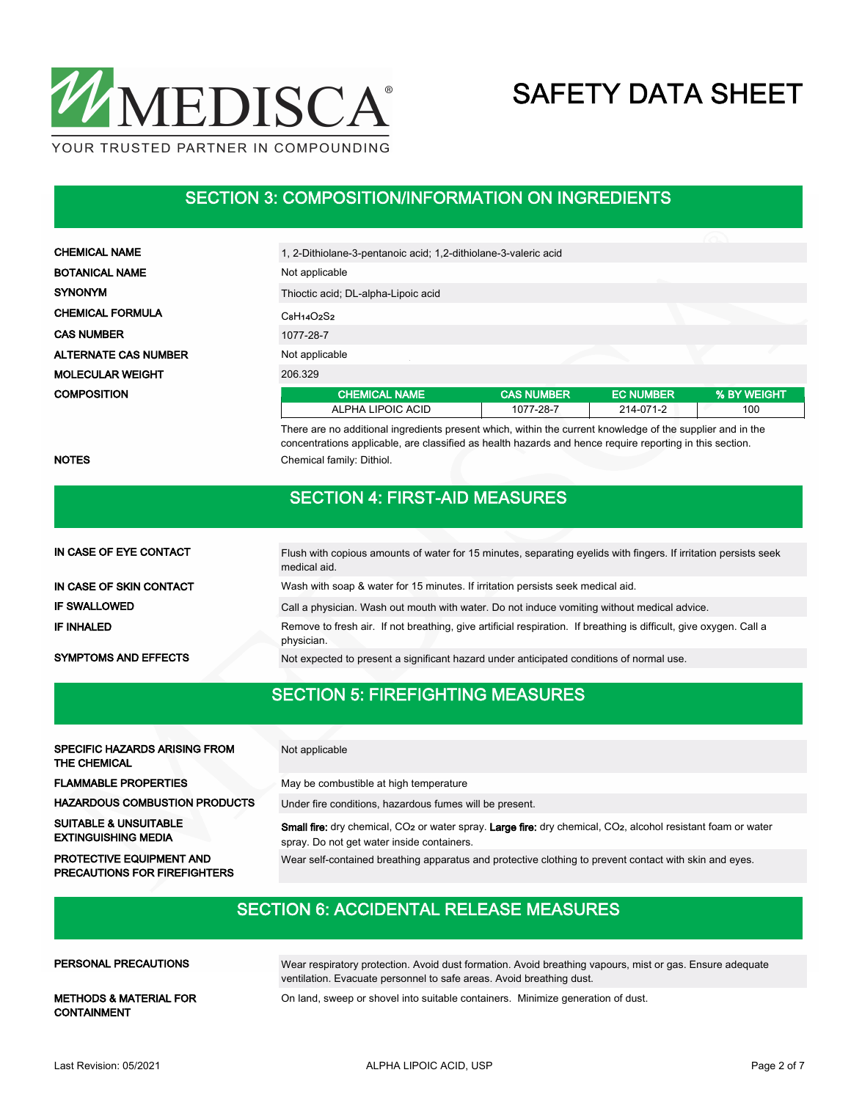

#### SECTION 3: COMPOSITION/INFORMATION ON INGREDIENTS

| <b>CHEMICAL NAME</b>        | 1, 2-Dithiolane-3-pentanoic acid; 1, 2-dithiolane-3-valeric acid                                           |                   |                  |             |  |  |  |  |
|-----------------------------|------------------------------------------------------------------------------------------------------------|-------------------|------------------|-------------|--|--|--|--|
| <b>BOTANICAL NAME</b>       | Not applicable                                                                                             |                   |                  |             |  |  |  |  |
| <b>SYNONYM</b>              | Thioctic acid; DL-alpha-Lipoic acid                                                                        |                   |                  |             |  |  |  |  |
| <b>CHEMICAL FORMULA</b>     | $C_8H_14O_2S_2$                                                                                            |                   |                  |             |  |  |  |  |
| <b>CAS NUMBER</b>           | 1077-28-7                                                                                                  |                   |                  |             |  |  |  |  |
| <b>ALTERNATE CAS NUMBER</b> | Not applicable                                                                                             |                   |                  |             |  |  |  |  |
| <b>MOLECULAR WEIGHT</b>     | 206.329                                                                                                    |                   |                  |             |  |  |  |  |
| <b>COMPOSITION</b>          | <b>CHEMICAL NAME</b>                                                                                       | <b>CAS NUMBER</b> | <b>EC NUMBER</b> | % BY WEIGHT |  |  |  |  |
|                             | ALPHA LIPOIC ACID                                                                                          | 1077-28-7         | 214-071-2        | 100         |  |  |  |  |
|                             | There are no additional ingredients present which, within the current knowledge of the supplier and in the |                   |                  |             |  |  |  |  |

NOTES Chemical family: Dithiol.

#### SECTION 4: FIRST-AID MEASURES

concentrations applicable, are classified as health hazards and hence require reporting in this section.

| IN CASE OF EYE CONTACT      | Flush with copious amounts of water for 15 minutes, separating eyelids with fingers. If irritation persists seek<br>medical aid. |
|-----------------------------|----------------------------------------------------------------------------------------------------------------------------------|
| IN CASE OF SKIN CONTACT     | Wash with soap & water for 15 minutes. If irritation persists seek medical aid.                                                  |
| <b>IF SWALLOWED</b>         | Call a physician. Wash out mouth with water. Do not induce vomiting without medical advice.                                      |
| <b>IF INHALED</b>           | Remove to fresh air. If not breathing, give artificial respiration. If breathing is difficult, give oxygen. Call a<br>physician. |
| <b>SYMPTOMS AND EFFECTS</b> | Not expected to present a significant hazard under anticipated conditions of normal use.                                         |

### SECTION 5: FIREFIGHTING MEASURES

| <b>SPECIFIC HAZARDS ARISING FROM</b><br><b>THE CHEMICAL</b>     | Not applicable                                                                                                                                                                             |
|-----------------------------------------------------------------|--------------------------------------------------------------------------------------------------------------------------------------------------------------------------------------------|
| <b>FLAMMABLE PROPERTIES</b>                                     | May be combustible at high temperature                                                                                                                                                     |
| <b>HAZARDOUS COMBUSTION PRODUCTS</b>                            | Under fire conditions, hazardous fumes will be present.                                                                                                                                    |
| <b>SUITABLE &amp; UNSUITABLE</b><br><b>EXTINGUISHING MEDIA</b>  | <b>Small fire:</b> dry chemical, CO <sub>2</sub> or water spray. Large fire: dry chemical, CO <sub>2</sub> , alcohol resistant foam or water<br>spray. Do not get water inside containers. |
| PROTECTIVE EQUIPMENT AND<br><b>PRECAUTIONS FOR FIREFIGHTERS</b> | Wear self-contained breathing apparatus and protective clothing to prevent contact with skin and eyes.                                                                                     |

### SECTION 6: ACCIDENTAL RELEASE MEASURES

| <b>PERSONAL PRECAUTIONS</b>                             | Wear respiratory protection. Avoid dust formation. Avoid breathing vapours, mist or gas. Ensure adequate<br>ventilation. Evacuate personnel to safe areas. Avoid breathing dust. |
|---------------------------------------------------------|----------------------------------------------------------------------------------------------------------------------------------------------------------------------------------|
| <b>METHODS &amp; MATERIAL FOR</b><br><b>CONTAINMENT</b> | On land, sweep or shovel into suitable containers. Minimize generation of dust.                                                                                                  |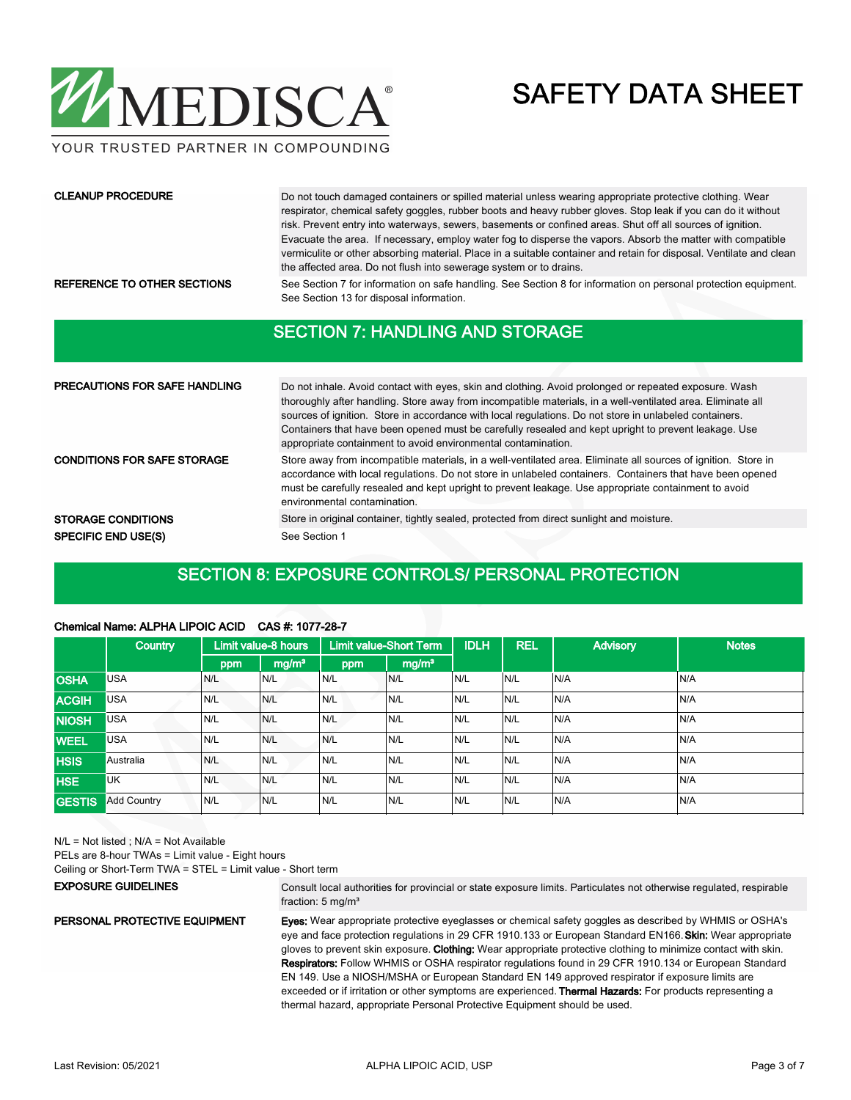

YOUR TRUSTED PARTNER IN COMPOUNDING

#### CLEANUP PROCEDURE

Do not touch damaged containers or spilled material unless wearing appropriate protective clothing. Wear respirator, chemical safety goggles, rubber boots and heavy rubber gloves. Stop leak if you can do it without risk. Prevent entry into waterways, sewers, basements or confined areas. Shut off all sources of ignition. Evacuate the area. If necessary, employ water fog to disperse the vapors. Absorb the matter with compatible vermiculite or other absorbing material. Place in a suitable container and retain for disposal. Ventilate and clean the affected area. Do not flush into sewerage system or to drains.

REFERENCE TO OTHER SECTIONS See Section 7 for information on safe handling. See Section 8 for information on personal protection equipment. See Section 13 for disposal information.

#### SECTION 7: HANDLING AND STORAGE

| <b>PRECAUTIONS FOR SAFE HANDLING</b> | Do not inhale. Avoid contact with eyes, skin and clothing. Avoid prolonged or repeated exposure. Wash<br>thoroughly after handling. Store away from incompatible materials, in a well-ventilated area. Eliminate all<br>sources of ignition. Store in accordance with local regulations. Do not store in unlabeled containers.<br>Containers that have been opened must be carefully resealed and kept upright to prevent leakage. Use<br>appropriate containment to avoid environmental contamination. |  |  |  |  |  |
|--------------------------------------|---------------------------------------------------------------------------------------------------------------------------------------------------------------------------------------------------------------------------------------------------------------------------------------------------------------------------------------------------------------------------------------------------------------------------------------------------------------------------------------------------------|--|--|--|--|--|
| <b>CONDITIONS FOR SAFE STORAGE</b>   | Store away from incompatible materials, in a well-ventilated area. Eliminate all sources of ignition. Store in<br>accordance with local regulations. Do not store in unlabeled containers. Containers that have been opened<br>must be carefully resealed and kept upright to prevent leakage. Use appropriate containment to avoid<br>environmental contamination.                                                                                                                                     |  |  |  |  |  |
| <b>STORAGE CONDITIONS</b>            | Store in original container, tightly sealed, protected from direct sunlight and moisture.                                                                                                                                                                                                                                                                                                                                                                                                               |  |  |  |  |  |
| <b>SPECIFIC END USE(S)</b>           | See Section 1                                                                                                                                                                                                                                                                                                                                                                                                                                                                                           |  |  |  |  |  |

### SECTION 8: EXPOSURE CONTROLS/ PERSONAL PROTECTION

#### Chemical Name: ALPHA LIPOIC ACID CAS #: 1077-28-7

|               | <b>Country</b>     |     | Limit value-8 hours |     | <b>Limit value-Short Term</b> | <b>IDLH</b> | <b>REL</b> | <b>Advisory</b> | <b>Notes</b> |
|---------------|--------------------|-----|---------------------|-----|-------------------------------|-------------|------------|-----------------|--------------|
|               |                    | ppm | mg/m <sup>3</sup>   | ppm | mg/m <sup>3</sup>             |             |            |                 |              |
| <b>OSHA</b>   | USA                | N/L | N/L                 | N/L | IN/L                          | N/L         | N/L        | N/A             | IN/A         |
| <b>ACGIH</b>  | <b>USA</b>         | N/L | N/L                 | N/L | N/L                           | N/L         | N/L        | N/A             | N/A          |
| <b>NIOSH</b>  | <b>USA</b>         | N/L | N/L                 | N/L | N/L                           | N/L         | N/L        | N/A             | N/A          |
| <b>WEEL</b>   | <b>USA</b>         | N/L | N/L                 | N/L | N/L                           | N/L         | N/L        | N/A             | IN/A         |
| <b>HSIS</b>   | Australia          | N/L | N/L                 | N/L | N/L                           | N/L         | N/L        | N/A             | N/A          |
| <b>HSE</b>    | <b>UK</b>          | N/L | N/L                 | N/L | N/L                           | N/L         | N/L        | N/A             | IN/A         |
| <b>GESTIS</b> | <b>Add Country</b> | N/L | N/L                 | N/L | N/L                           | N/L         | N/L        | N/A             | N/A          |

N/L = Not listed ; N/A = Not Available

PELs are 8-hour TWAs = Limit value - Eight hours

Ceiling or Short-Term TWA = STEL = Limit value - Short term

EXPOSURE GUIDELINES

PERSONAL PROTECTIVE EQUIPMENT

Consult local authorities for provincial or state exposure limits. Particulates not otherwise regulated, respirable fraction: 5 mg/m³

Eyes: Wear appropriate protective eyeglasses or chemical safety goggles as described by WHMIS or OSHA's eye and face protection regulations in 29 CFR 1910.133 or European Standard EN166. Skin: Wear appropriate gloves to prevent skin exposure. Clothing: Wear appropriate protective clothing to minimize contact with skin. Respirators: Follow WHMIS or OSHA respirator regulations found in 29 CFR 1910.134 or European Standard EN 149. Use a NIOSH/MSHA or European Standard EN 149 approved respirator if exposure limits are exceeded or if irritation or other symptoms are experienced. Thermal Hazards: For products representing a thermal hazard, appropriate Personal Protective Equipment should be used.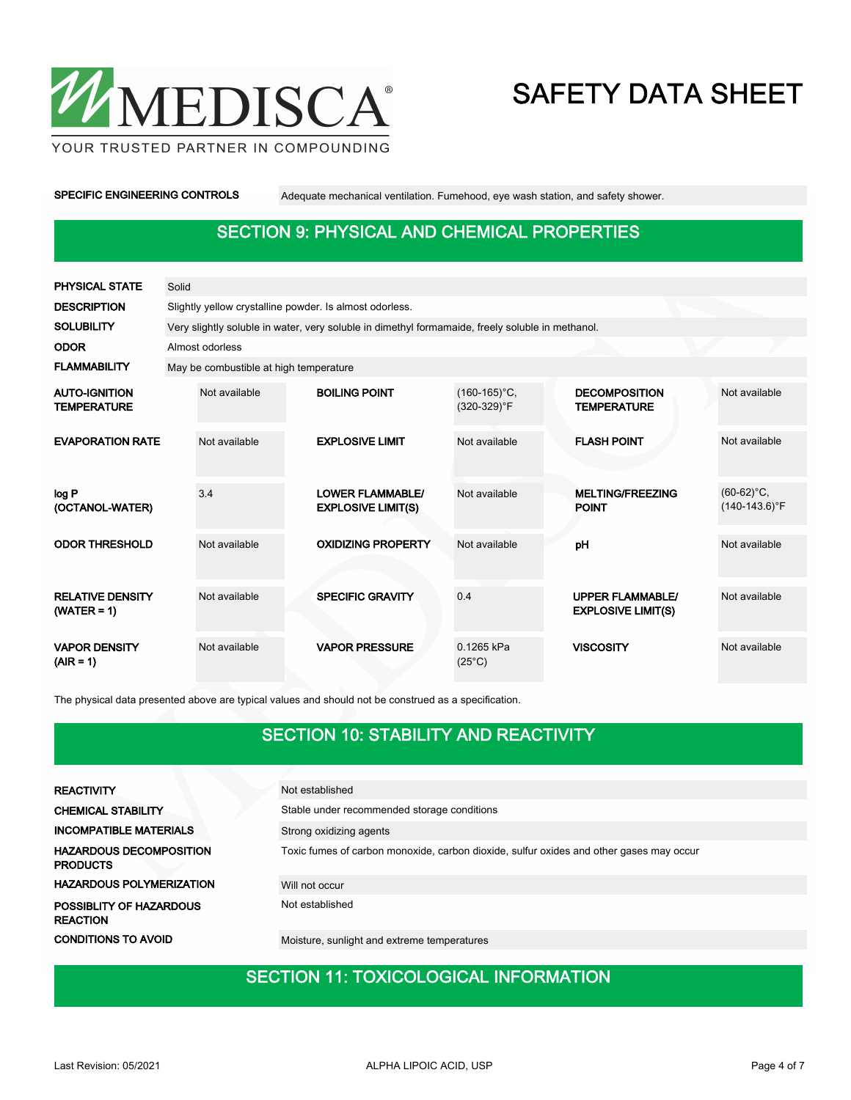

YOUR TRUSTED PARTNER IN COMPOUNDING

SPECIFIC ENGINEERING CONTROLS Adequate mechanical ventilation. Fumehood, eye wash station, and safety shower.

### SECTION 9: PHYSICAL AND CHEMICAL PROPERTIES

| <b>PHYSICAL STATE</b>                      | Solid |                                                                                                  |  |                                                      |                                |  |                                                      |  |                                               |  |  |  |  |
|--------------------------------------------|-------|--------------------------------------------------------------------------------------------------|--|------------------------------------------------------|--------------------------------|--|------------------------------------------------------|--|-----------------------------------------------|--|--|--|--|
| <b>DESCRIPTION</b>                         |       | Slightly yellow crystalline powder. Is almost odorless.                                          |  |                                                      |                                |  |                                                      |  |                                               |  |  |  |  |
| <b>SOLUBILITY</b>                          |       | Very slightly soluble in water, very soluble in dimethyl formamaide, freely soluble in methanol. |  |                                                      |                                |  |                                                      |  |                                               |  |  |  |  |
| <b>ODOR</b>                                |       | Almost odorless                                                                                  |  |                                                      |                                |  |                                                      |  |                                               |  |  |  |  |
| <b>FLAMMABILITY</b>                        |       | May be combustible at high temperature                                                           |  |                                                      |                                |  |                                                      |  |                                               |  |  |  |  |
| <b>AUTO-IGNITION</b><br><b>TEMPERATURE</b> |       | Not available                                                                                    |  | <b>BOILING POINT</b>                                 | $(160-165)$ °C,<br>(320-329)°F |  | <b>DECOMPOSITION</b><br><b>TEMPERATURE</b>           |  | Not available                                 |  |  |  |  |
| <b>EVAPORATION RATE</b>                    |       | Not available                                                                                    |  | <b>EXPLOSIVE LIMIT</b>                               | Not available                  |  | <b>FLASH POINT</b>                                   |  | Not available                                 |  |  |  |  |
| log P<br>(OCTANOL-WATER)                   |       | 3.4                                                                                              |  | <b>LOWER FLAMMABLE/</b><br><b>EXPLOSIVE LIMIT(S)</b> | Not available                  |  | <b>MELTING/FREEZING</b><br><b>POINT</b>              |  | $(60-62)$ °C,<br>$(140-143.6)$ <sup>°</sup> F |  |  |  |  |
| <b>ODOR THRESHOLD</b>                      |       | Not available                                                                                    |  | <b>OXIDIZING PROPERTY</b>                            | Not available                  |  | pH                                                   |  | Not available                                 |  |  |  |  |
| <b>RELATIVE DENSITY</b><br>$(WATER = 1)$   |       | Not available                                                                                    |  | <b>SPECIFIC GRAVITY</b>                              | 04                             |  | <b>UPPER FLAMMABLE/</b><br><b>EXPLOSIVE LIMIT(S)</b> |  | Not available                                 |  |  |  |  |
| <b>VAPOR DENSITY</b><br>$(AIR = 1)$        |       | Not available                                                                                    |  | <b>VAPOR PRESSURE</b>                                | 0.1265 kPa<br>$(25^{\circ}C)$  |  | <b>VISCOSITY</b>                                     |  | Not available                                 |  |  |  |  |

The physical data presented above are typical values and should not be construed as a specification.

### SECTION 10: STABILITY AND REACTIVITY

| <b>REACTIVITY</b>                                 | Not established                                                                         |
|---------------------------------------------------|-----------------------------------------------------------------------------------------|
| <b>CHEMICAL STABILITY</b>                         | Stable under recommended storage conditions                                             |
| <b>INCOMPATIBLE MATERIALS</b>                     | Strong oxidizing agents                                                                 |
| <b>HAZARDOUS DECOMPOSITION</b><br><b>PRODUCTS</b> | Toxic fumes of carbon monoxide, carbon dioxide, sulfur oxides and other gases may occur |
| <b>HAZARDOUS POLYMERIZATION</b>                   | Will not occur                                                                          |
| <b>POSSIBLITY OF HAZARDOUS</b><br><b>REACTION</b> | Not established                                                                         |
| <b>CONDITIONS TO AVOID</b>                        | Moisture, sunlight and extreme temperatures                                             |

### **SECTION 11: TOXICOLOGICAL INFORMATION**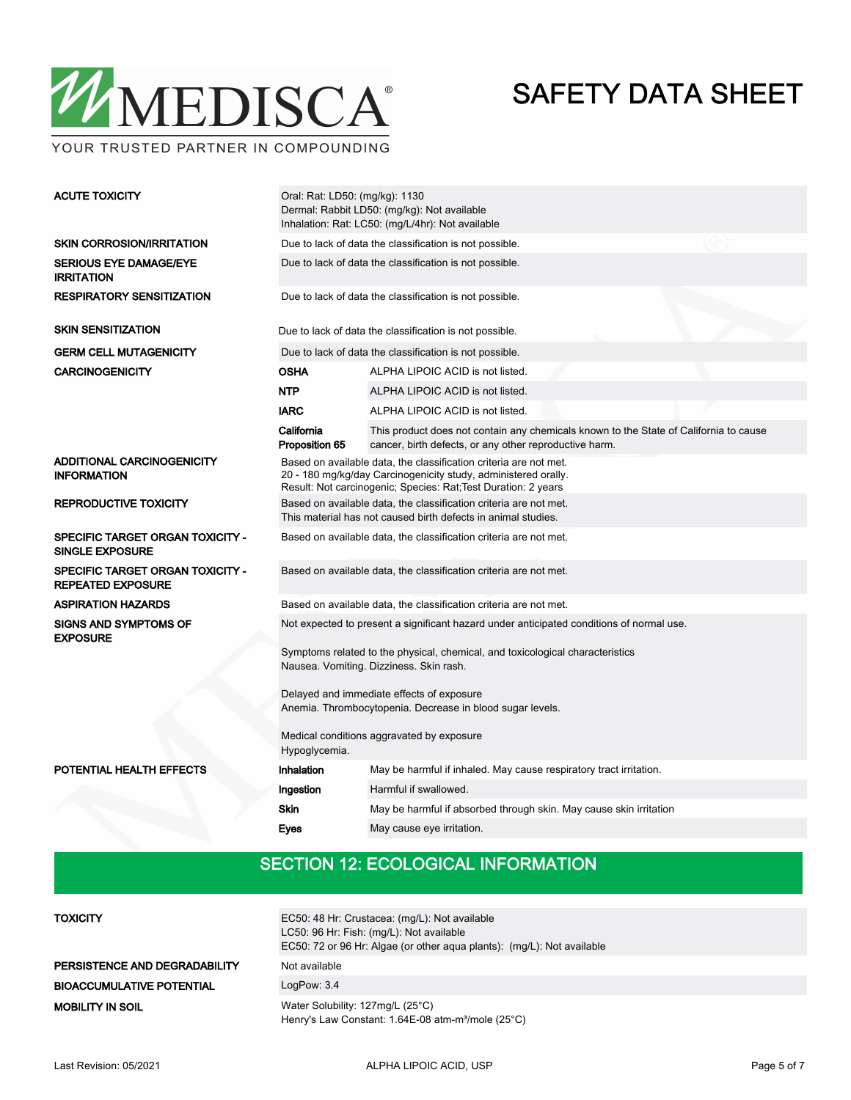

YOUR TRUSTED PARTNER IN COMPOUNDING

| <b>ACUTE TOXICITY</b>                                             | Oral: Rat: LD50: (mg/kg): 1130<br>Dermal: Rabbit LD50: (mg/kg): Not available<br>Inhalation: Rat: LC50: (mg/L/4hr): Not available                                                                     |                                                                                                                                                 |  |  |  |  |  |
|-------------------------------------------------------------------|-------------------------------------------------------------------------------------------------------------------------------------------------------------------------------------------------------|-------------------------------------------------------------------------------------------------------------------------------------------------|--|--|--|--|--|
| <b>SKIN CORROSION/IRRITATION</b>                                  | Due to lack of data the classification is not possible.                                                                                                                                               |                                                                                                                                                 |  |  |  |  |  |
| <b>SERIOUS EYE DAMAGE/EYE</b><br><b>IRRITATION</b>                |                                                                                                                                                                                                       | Due to lack of data the classification is not possible.                                                                                         |  |  |  |  |  |
| <b>RESPIRATORY SENSITIZATION</b>                                  | Due to lack of data the classification is not possible.                                                                                                                                               |                                                                                                                                                 |  |  |  |  |  |
| <b>SKIN SENSITIZATION</b>                                         |                                                                                                                                                                                                       | Due to lack of data the classification is not possible.                                                                                         |  |  |  |  |  |
| <b>GERM CELL MUTAGENICITY</b>                                     |                                                                                                                                                                                                       | Due to lack of data the classification is not possible.                                                                                         |  |  |  |  |  |
| <b>CARCINOGENICITY</b>                                            | <b>OSHA</b>                                                                                                                                                                                           | ALPHA LIPOIC ACID is not listed.                                                                                                                |  |  |  |  |  |
|                                                                   | <b>NTP</b>                                                                                                                                                                                            | ALPHA LIPOIC ACID is not listed.                                                                                                                |  |  |  |  |  |
|                                                                   | <b>IARC</b>                                                                                                                                                                                           | ALPHA LIPOIC ACID is not listed.                                                                                                                |  |  |  |  |  |
|                                                                   | California<br>Proposition 65                                                                                                                                                                          | This product does not contain any chemicals known to the State of California to cause<br>cancer, birth defects, or any other reproductive harm. |  |  |  |  |  |
| <b>ADDITIONAL CARCINOGENICITY</b><br><b>INFORMATION</b>           | Based on available data, the classification criteria are not met.<br>20 - 180 mg/kg/day Carcinogenicity study, administered orally.<br>Result: Not carcinogenic; Species: Rat; Test Duration: 2 years |                                                                                                                                                 |  |  |  |  |  |
| <b>REPRODUCTIVE TOXICITY</b>                                      | Based on available data, the classification criteria are not met.<br>This material has not caused birth defects in animal studies.                                                                    |                                                                                                                                                 |  |  |  |  |  |
| <b>SPECIFIC TARGET ORGAN TOXICITY -</b><br><b>SINGLE EXPOSURE</b> | Based on available data, the classification criteria are not met.                                                                                                                                     |                                                                                                                                                 |  |  |  |  |  |
| SPECIFIC TARGET ORGAN TOXICITY -<br><b>REPEATED EXPOSURE</b>      | Based on available data, the classification criteria are not met.                                                                                                                                     |                                                                                                                                                 |  |  |  |  |  |
| <b>ASPIRATION HAZARDS</b>                                         |                                                                                                                                                                                                       | Based on available data, the classification criteria are not met.                                                                               |  |  |  |  |  |
| <b>SIGNS AND SYMPTOMS OF</b><br><b>EXPOSURE</b>                   |                                                                                                                                                                                                       | Not expected to present a significant hazard under anticipated conditions of normal use.                                                        |  |  |  |  |  |
|                                                                   | Symptoms related to the physical, chemical, and toxicological characteristics<br>Nausea. Vomiting. Dizziness. Skin rash.                                                                              |                                                                                                                                                 |  |  |  |  |  |
|                                                                   | Delayed and immediate effects of exposure<br>Anemia. Thrombocytopenia. Decrease in blood sugar levels.                                                                                                |                                                                                                                                                 |  |  |  |  |  |
|                                                                   | Medical conditions aggravated by exposure<br>Hypoglycemia.                                                                                                                                            |                                                                                                                                                 |  |  |  |  |  |
| POTENTIAL HEALTH EFFECTS                                          | Inhalation                                                                                                                                                                                            | May be harmful if inhaled. May cause respiratory tract irritation.                                                                              |  |  |  |  |  |
|                                                                   | Ingestion                                                                                                                                                                                             | Harmful if swallowed.                                                                                                                           |  |  |  |  |  |
|                                                                   | <b>Skin</b>                                                                                                                                                                                           | May be harmful if absorbed through skin. May cause skin irritation                                                                              |  |  |  |  |  |
|                                                                   | <b>Eyes</b>                                                                                                                                                                                           | May cause eye irritation.                                                                                                                       |  |  |  |  |  |
|                                                                   |                                                                                                                                                                                                       |                                                                                                                                                 |  |  |  |  |  |

#### SECTION 12: ECOLOGICAL INFORMATION

| <b>TOXICITY</b>                  | EC50: 48 Hr: Crustacea: (mg/L): Not available<br>LC50: 96 Hr: Fish: (mg/L): Not available<br>EC50: 72 or 96 Hr: Algae (or other agua plants): (mg/L): Not available |
|----------------------------------|---------------------------------------------------------------------------------------------------------------------------------------------------------------------|
| PERSISTENCE AND DEGRADABILITY    | Not available                                                                                                                                                       |
| <b>BIOACCUMULATIVE POTENTIAL</b> | LogPow: 3.4                                                                                                                                                         |
| <b>MOBILITY IN SOIL</b>          | Water Solubility: 127mg/L (25°C)<br>Henry's Law Constant: 1.64E-08 atm-m <sup>3</sup> /mole (25°C)                                                                  |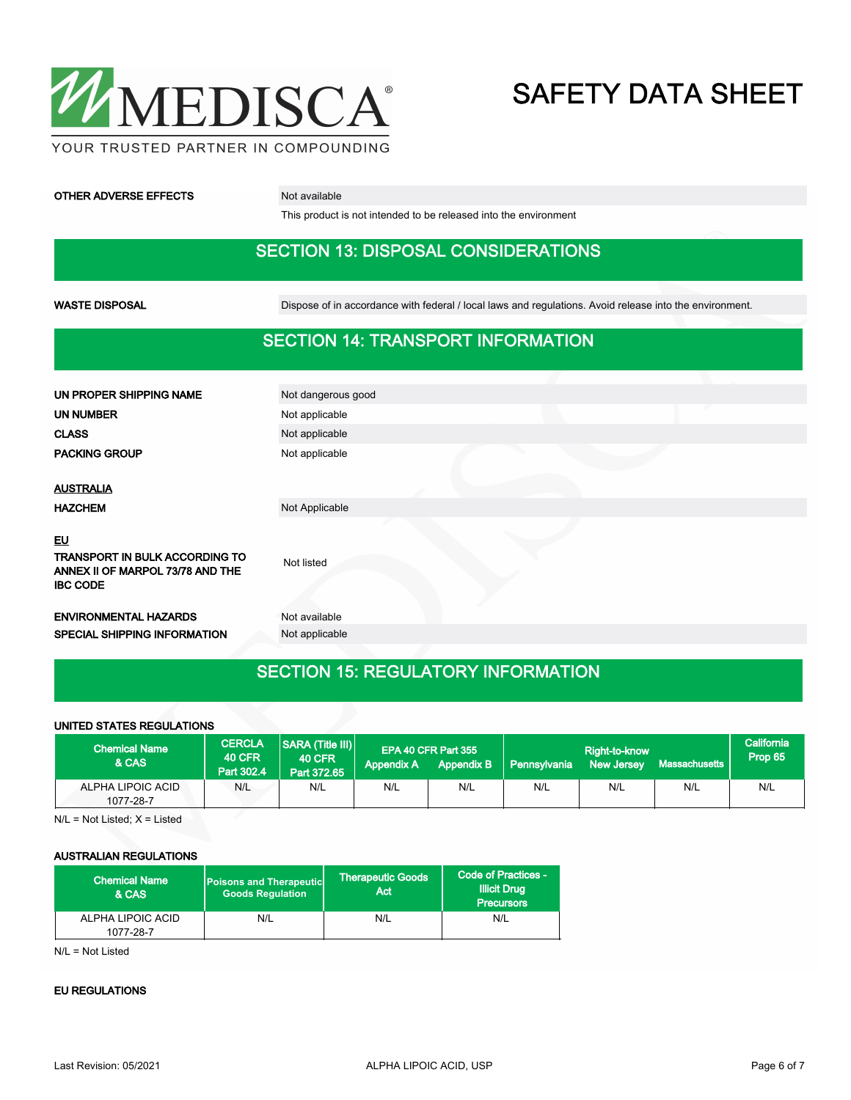

#### **OTHER ADVERSE EFFECTS** Not available

This product is not intended to be released into the environment

#### SECTION 13: DISPOSAL CONSIDERATIONS

WASTE DISPOSAL **Dispose of in accordance with federal / local laws and regulations**. Avoid release into the environment.

#### SECTION 14: TRANSPORT INFORMATION

| UN PROPER SHIPPING NAME                                                         | Not dangerous good |
|---------------------------------------------------------------------------------|--------------------|
| UN NUMBER                                                                       | Not applicable     |
| <b>CLASS</b>                                                                    | Not applicable     |
| <b>PACKING GROUP</b>                                                            | Not applicable     |
|                                                                                 |                    |
| <b>AUSTRALIA</b>                                                                |                    |
| <b>HAZCHEM</b>                                                                  | Not Applicable     |
| EU<br><b>TRANSPORT IN BULK ACCORDING TO</b><br>ANNEX II OF MARPOL 73/78 AND THE | Not listed         |
| <b>IBC CODE</b>                                                                 |                    |
| <b>ENVIRONMENTAL HAZARDS</b>                                                    | Not available      |
| SPECIAL SHIPPING INFORMATION                                                    | Not applicable     |
|                                                                                 |                    |

### SECTION 15: REGULATORY INFORMATION

#### UNITED STATES REGULATIONS

| <b>Chemical Name</b><br><b>&amp; CAS</b> | <b>CERCLA</b><br><b>40 CFR</b><br>Part 302.4 | $ SARA$ (Title $   $ )<br><b>40 CFR</b><br>Part 372.65 | <b>Appendix A</b> | EPA 40 CFR Part 355<br><b>Appendix B</b> | <b>Pennsylvania</b> | Right-to-know<br><b>New Jersey</b> | Massachusetts | California<br>Prop 65 |
|------------------------------------------|----------------------------------------------|--------------------------------------------------------|-------------------|------------------------------------------|---------------------|------------------------------------|---------------|-----------------------|
| ALPHA LIPOIC ACID<br>1077-28-7           | N/L                                          | N/L                                                    | N/L               | N/L                                      | N/L                 | N/L                                | N/L           | N/L                   |

 $N/L$  = Not Listed;  $X$  = Listed

#### AUSTRALIAN REGULATIONS

| <b>Chemical Name</b><br>& CAS  | <b>Poisons and Therapeutic</b><br><b>Goods Requlation</b> | <b>Therapeutic Goods</b><br>Act | Code of Practices -<br><b>Illicit Drug</b><br><b>Precursors</b> |  |
|--------------------------------|-----------------------------------------------------------|---------------------------------|-----------------------------------------------------------------|--|
| ALPHA LIPOIC ACID<br>1077-28-7 | N/L                                                       | N/L                             | N/L                                                             |  |

N/L = Not Listed

#### EU REGULATIONS